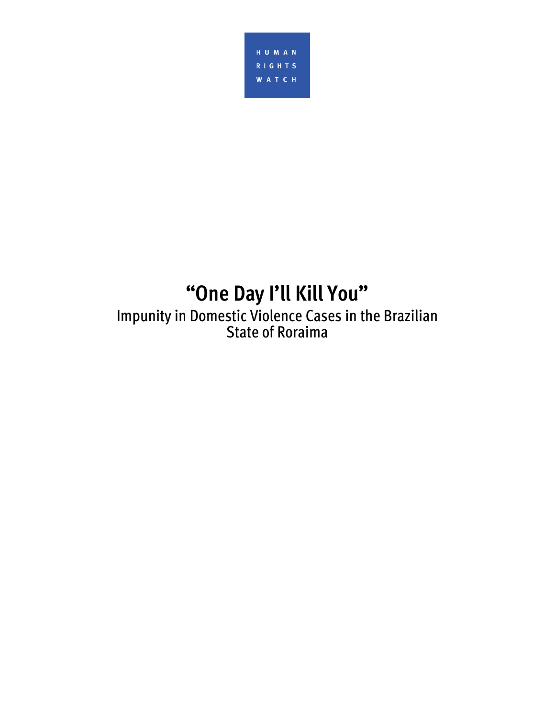

# **"One Day I'll Kill You"**

Impunity in Domestic Violence Cases in the Brazilian State of Roraima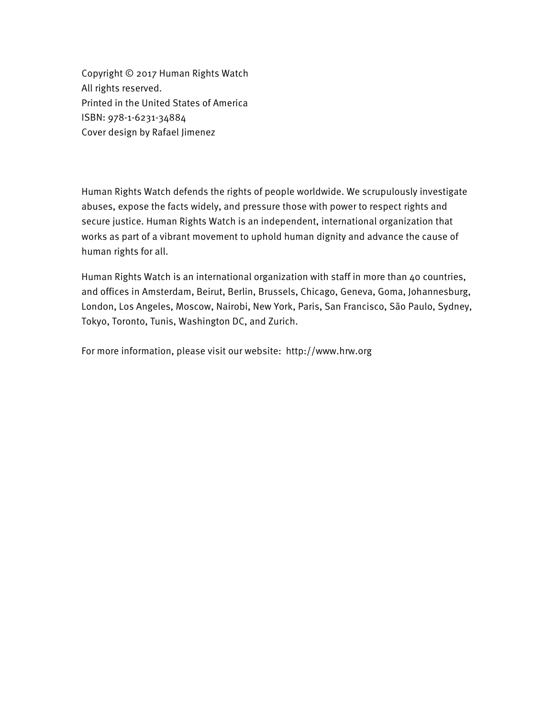Copyright © 2017 Human Rights Watch All rights reserved. Printed in the United States of America ISBN: 978-1-6231-34884 Cover design by Rafael Jimenez

Human Rights Watch defends the rights of people worldwide. We scrupulously investigate abuses, expose the facts widely, and pressure those with power to respect rights and secure justice. Human Rights Watch is an independent, international organization that works as part of a vibrant movement to uphold human dignity and advance the cause of human rights for all.

Human Rights Watch is an international organization with staff in more than 40 countries, and offices in Amsterdam, Beirut, Berlin, Brussels, Chicago, Geneva, Goma, Johannesburg, London, Los Angeles, Moscow, Nairobi, New York, Paris, San Francisco, São Paulo, Sydney, Tokyo, Toronto, Tunis, Washington DC, and Zurich.

For more information, please visit our website: http://www.hrw.org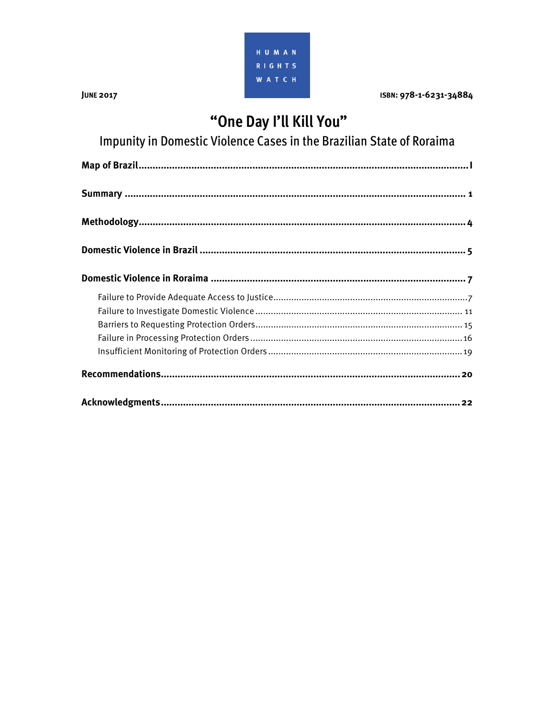

**JUNE 2017** 

ISBN: 978-1-6231-34884

## "One Day I'll Kill You"

Impunity in Domestic Violence Cases in the Brazilian State of Roraima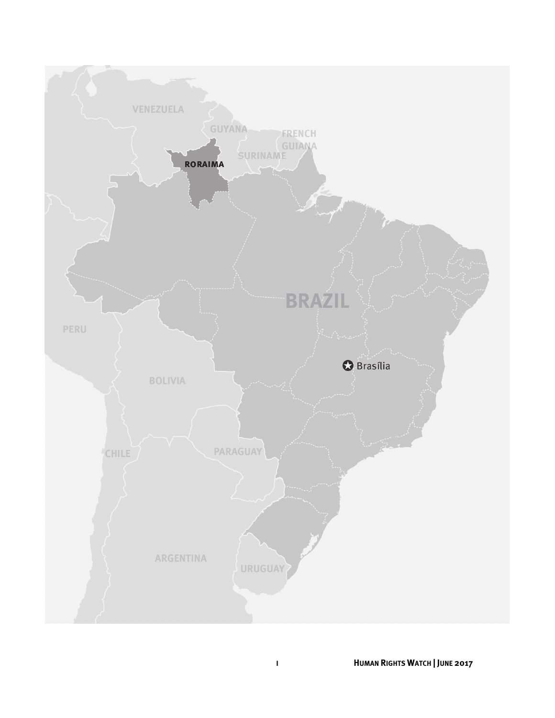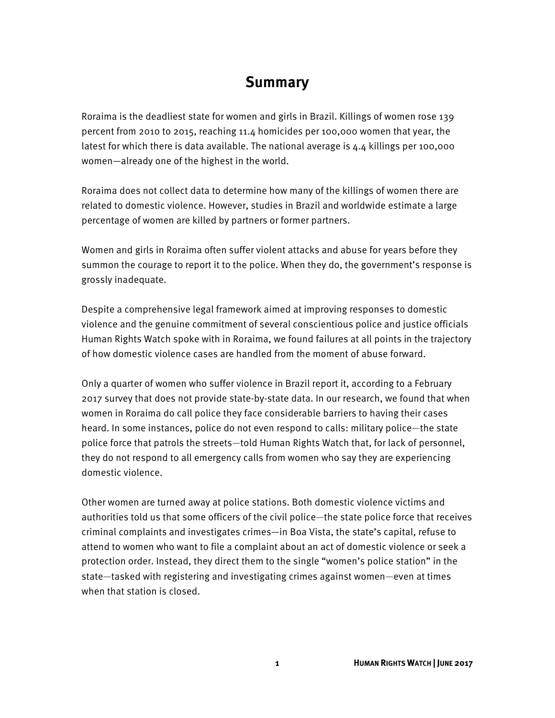### **Summary**

Roraima is the deadliest state for women and girls in Brazil. Killings of women rose 139 percent from 2010 to 2015, reaching 11.4 homicides per 100,000 women that year, the latest for which there is data available. The national average is 4.4 killings per 100,000 women—already one of the highest in the world.

Roraima does not collect data to determine how many of the killings of women there are related to domestic violence. However, studies in Brazil and worldwide estimate a large percentage of women are killed by partners or former partners.

Women and girls in Roraima often suffer violent attacks and abuse for years before they summon the courage to report it to the police. When they do, the government's response is grossly inadequate.

Despite a comprehensive legal framework aimed at improving responses to domestic violence and the genuine commitment of several conscientious police and justice officials Human Rights Watch spoke with in Roraima, we found failures at all points in the trajectory of how domestic violence cases are handled from the moment of abuse forward.

Only a quarter of women who suffer violence in Brazil report it, according to a February 2017 survey that does not provide state-by-state data. In our research, we found that when women in Roraima do call police they face considerable barriers to having their cases heard. In some instances, police do not even respond to calls: military police—the state police force that patrols the streets—told Human Rights Watch that, for lack of personnel, they do not respond to all emergency calls from women who say they are experiencing domestic violence.

Other women are turned away at police stations. Both domestic violence victims and authorities told us that some officers of the civil police—the state police force that receives criminal complaints and investigates crimes—in Boa Vista, the state's capital, refuse to attend to women who want to file a complaint about an act of domestic violence or seek a protection order. Instead, they direct them to the single "women's police station" in the state—tasked with registering and investigating crimes against women—even at times when that station is closed.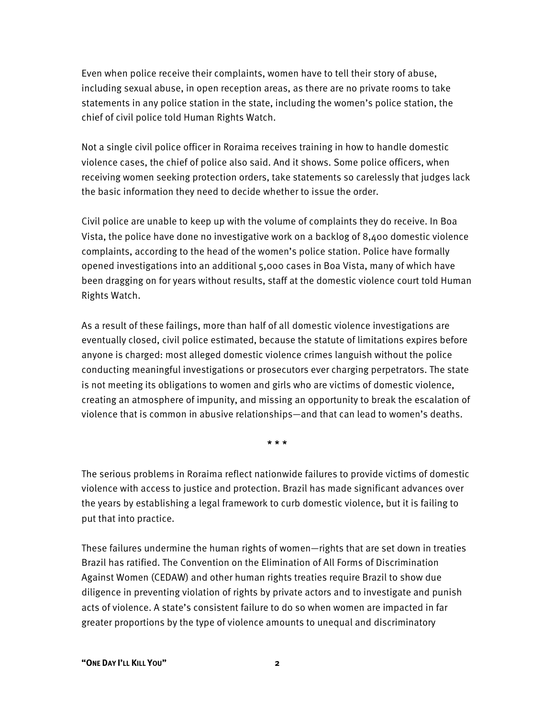Even when police receive their complaints, women have to tell their story of abuse, including sexual abuse, in open reception areas, as there are no private rooms to take statements in any police station in the state, including the women's police station, the chief of civil police told Human Rights Watch.

Not a single civil police officer in Roraima receives training in how to handle domestic violence cases, the chief of police also said. And it shows. Some police officers, when receiving women seeking protection orders, take statements so carelessly that judges lack the basic information they need to decide whether to issue the order.

Civil police are unable to keep up with the volume of complaints they do receive. In Boa Vista, the police have done no investigative work on a backlog of 8,400 domestic violence complaints, according to the head of the women's police station. Police have formally opened investigations into an additional 5,000 cases in Boa Vista, many of which have been dragging on for years without results, staff at the domestic violence court told Human Rights Watch.

As a result of these failings, more than half of all domestic violence investigations are eventually closed, civil police estimated, because the statute of limitations expires before anyone is charged: most alleged domestic violence crimes languish without the police conducting meaningful investigations or prosecutors ever charging perpetrators. The state is not meeting its obligations to women and girls who are victims of domestic violence, creating an atmosphere of impunity, and missing an opportunity to break the escalation of violence that is common in abusive relationships—and that can lead to women's deaths.

\* \* \*

The serious problems in Roraima reflect nationwide failures to provide victims of domestic violence with access to justice and protection. Brazil has made significant advances over the years by establishing a legal framework to curb domestic violence, but it is failing to put that into practice.

These failures undermine the human rights of women—rights that are set down in treaties Brazil has ratified. The Convention on the Elimination of All Forms of Discrimination Against Women (CEDAW) and other human rights treaties require Brazil to show due diligence in preventing violation of rights by private actors and to investigate and punish acts of violence. A state's consistent failure to do so when women are impacted in far greater proportions by the type of violence amounts to unequal and discriminatory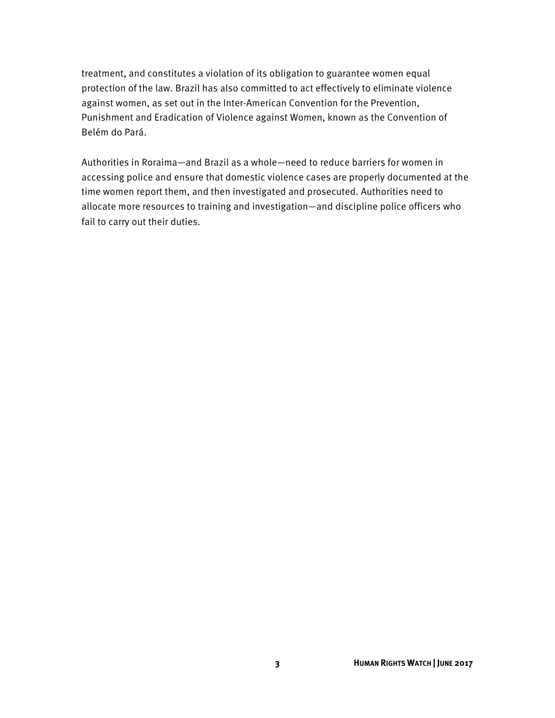treatment, and constitutes a violation of its obligation to guarantee women equal protection of the law. Brazil has also committed to act effectively to eliminate violence against women, as set out in the Inter-American Convention for the Prevention, Punishment and Eradication of Violence against Women, known as the Convention of Belém do Pará.

Authorities in Roraima—and Brazil as a whole—need to reduce barriers for women in accessing police and ensure that domestic violence cases are properly documented at the time women report them, and then investigated and prosecuted. Authorities need to allocate more resources to training and investigation—and discipline police officers who fail to carry out their duties.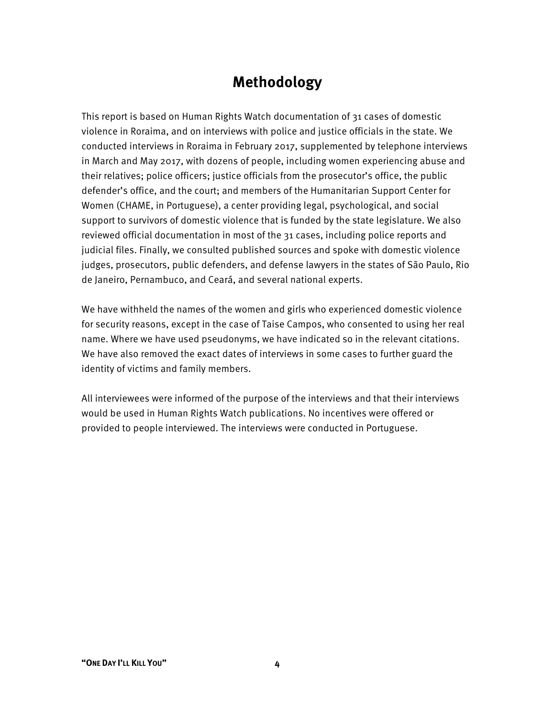## **Methodology**

This report is based on Human Rights Watch documentation of 31 cases of domestic violence in Roraima, and on interviews with police and justice officials in the state. We conducted interviews in Roraima in February 2017, supplemented by telephone interviews in March and May 2017, with dozens of people, including women experiencing abuse and their relatives; police officers; justice officials from the prosecutor's office, the public defender's office, and the court; and members of the Humanitarian Support Center for Women (CHAME, in Portuguese), a center providing legal, psychological, and social support to survivors of domestic violence that is funded by the state legislature. We also reviewed official documentation in most of the 31 cases, including police reports and judicial files. Finally, we consulted published sources and spoke with domestic violence judges, prosecutors, public defenders, and defense lawyers in the states of São Paulo, Rio de Janeiro, Pernambuco, and Ceará, and several national experts.

We have withheld the names of the women and girls who experienced domestic violence for security reasons, except in the case of Taise Campos, who consented to using her real name. Where we have used pseudonyms, we have indicated so in the relevant citations. We have also removed the exact dates of interviews in some cases to further guard the identity of victims and family members.

All interviewees were informed of the purpose of the interviews and that their interviews would be used in Human Rights Watch publications. No incentives were offered or provided to people interviewed. The interviews were conducted in Portuguese.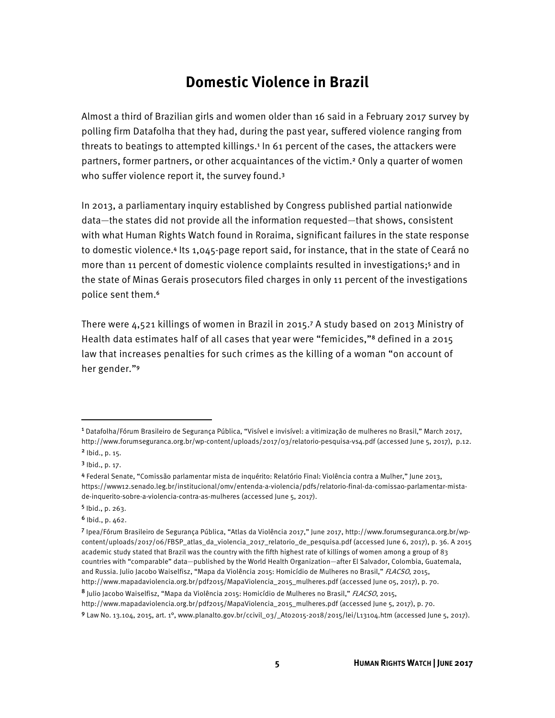## **Domestic Violence in Brazil**

Almost a third of Brazilian girls and women older than 16 said in a February 2017 survey by polling firm Datafolha that they had, during the past year, suffered violence ranging from threats to beatings to attempted killings.<sup>1</sup> In 61 percent of the cases, the attackers were partners, former partners, or other acquaintances of the victim.2 Only a quarter of women who suffer violence report it, the survey found.<sup>3</sup>

In 2013, a parliamentary inquiry established by Congress published partial nationwide data—the states did not provide all the information requested—that shows, consistent with what Human Rights Watch found in Roraima, significant failures in the state response to domestic violence.4 Its 1,045-page report said, for instance, that in the state of Ceará no more than 11 percent of domestic violence complaints resulted in investigations;<sup>5</sup> and in the state of Minas Gerais prosecutors filed charges in only 11 percent of the investigations police sent them.<sup>6</sup>

There were 4,521 killings of women in Brazil in 2015.7 A study based on 2013 Ministry of Health data estimates half of all cases that year were "femicides,"8 defined in a 2015 law that increases penalties for such crimes as the killing of a woman "on account of her gender."<sup>9</sup>

 $\overline{a}$ 

<sup>1</sup> Datafolha/Fórum Brasileiro de Segurança Pública, "Visível e invisível: a vitimização de mulheres no Brasil," March 2017, http://www.forumseguranca.org.br/wp-content/uploads/2017/03/relatorio-pesquisa-vs4.pdf (accessed June 5, 2017), p.12.

<sup>2</sup> Ibid., p. 15.

<sup>3</sup> Ibid., p. 17.

<sup>4</sup> Federal Senate, "Comissão parlamentar mista de inquérito: Relatório Final: Violência contra a Mulher," June 2013, https://www12.senado.leg.br/institucional/omv/entenda-a-violencia/pdfs/relatorio-final-da-comissao-parlamentar-mistade-inquerito-sobre-a-violencia-contra-as-mulheres (accessed June 5, 2017).

<sup>5</sup> Ibid., p. 263.

 $6$  Ibid., p. 462.

<sup>7</sup> Ipea/Fórum Brasileiro de Segurança Pública, "Atlas da Violência 2017," June 2017, http://www.forumseguranca.org.br/wpcontent/uploads/2017/06/FBSP\_atlas\_da\_violencia\_2017\_relatorio\_de\_pesquisa.pdf (accessed June 6, 2017), p. 36. A 2015 academic study stated that Brazil was the country with the fifth highest rate of killings of women among a group of 83 countries with "comparable" data—published by the World Health Organization—after El Salvador, Colombia, Guatemala, and Russia. Julio Jacobo Waiselfisz, "Mapa da Violência 2015: Homicídio de Mulheres no Brasil," FLACSO, 2015, http://www.mapadaviolencia.org.br/pdf2015/MapaViolencia\_2015\_mulheres.pdf (accessed June 05, 2017), p. 70.

<sup>8</sup> Julio Jacobo Waiselfisz, "Mapa da Violência 2015: Homicídio de Mulheres no Brasil," FLACSO, 2015,

http://www.mapadaviolencia.org.br/pdf2015/MapaViolencia\_2015\_mulheres.pdf (accessed June 5, 2017), p. 70.

<sup>9</sup> Law No. 13.104, 2015, art. 1°, www.planalto.gov.br/ccivil\_03/\_Ato2015-2018/2015/lei/L13104.htm (accessed June 5, 2017).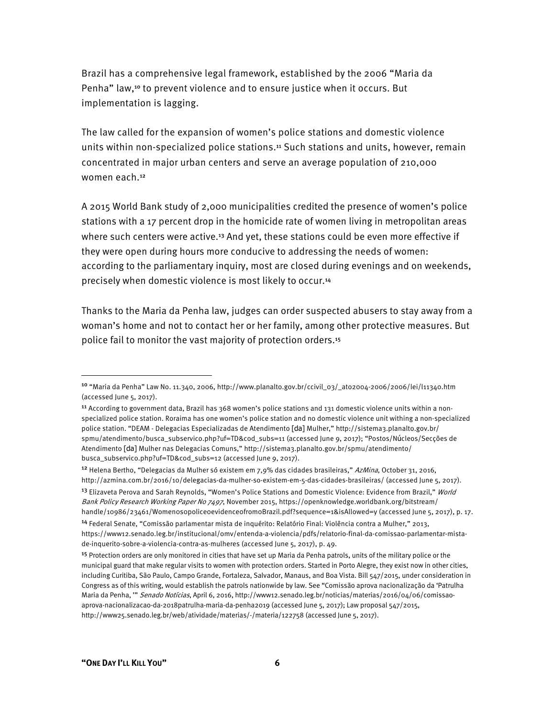Brazil has a comprehensive legal framework, established by the 2006 "Maria da Penha" law,10 to prevent violence and to ensure justice when it occurs. But implementation is lagging.

The law called for the expansion of women's police stations and domestic violence units within non-specialized police stations.11 Such stations and units, however, remain concentrated in major urban centers and serve an average population of 210,000 women each.<sup>12</sup>

A 2015 World Bank study of 2,000 municipalities credited the presence of women's police stations with a 17 percent drop in the homicide rate of women living in metropolitan areas where such centers were active.<sup>13</sup> And yet, these stations could be even more effective if they were open during hours more conducive to addressing the needs of women: according to the parliamentary inquiry, most are closed during evenings and on weekends, precisely when domestic violence is most likely to occur.<sup>14</sup>

Thanks to the Maria da Penha law, judges can order suspected abusers to stay away from a woman's home and not to contact her or her family, among other protective measures. But police fail to monitor the vast majority of protection orders.<sup>15</sup>

<sup>10</sup> "Maria da Penha" Law No. 11.340, 2006, http://www.planalto.gov.br/ccivil\_03/\_ato2004-2006/2006/lei/l11340.htm (accessed June 5, 2017).

<sup>11</sup> According to government data, Brazil has 368 women's police stations and 131 domestic violence units within a nonspecialized police station. Roraima has one women's police station and no domestic violence unit withing a non-specialized police station. "DEAM - Delegacias Especializadas de Atendimento [da] Mulher," http://sistema3.planalto.gov.br/ spmu/atendimento/busca\_subservico.php?uf=TD&cod\_subs=11 (accessed June 9, 2017); "Postos/Núcleos/Secções de Atendimento [da] Mulher nas Delegacias Comuns," http://sistema3.planalto.gov.br/spmu/atendimento/ busca\_subservico.php?uf=TD&cod\_subs=12 (accessed June 9, 2017).

<sup>&</sup>lt;sup>12</sup> Helena Bertho, "Delegacias da Mulher só existem em 7,9% das cidades brasileiras," AzMina, October 31, 2016, http://azmina.com.br/2016/10/delegacias-da-mulher-so-existem-em-5-das-cidades-brasileiras/ (accessed June 5, 2017). <sup>13</sup> Elizaveta Perova and Sarah Reynolds, "Women's Police Stations and Domestic Violence: Evidence from Brazil," World Bank Policy Research Working Paper No 7497, November 2015, https://openknowledge.worldbank.org/bitstream/ handle/10986/23461/WomenosopoliceoevidenceofromoBrazil.pdf?sequence=1&isAllowed=y (accessed June 5, 2017), p. 17.

<sup>14</sup> Federal Senate, "Comissão parlamentar mista de inquérito: Relatório Final: Violência contra a Mulher," 2013, https://www12.senado.leg.br/institucional/omv/entenda-a-violencia/pdfs/relatorio-final-da-comissao-parlamentar-mistade-inquerito-sobre-a-violencia-contra-as-mulheres (accessed June 5, 2017), p. 49.

<sup>&</sup>lt;sup>15</sup> Protection orders are only monitored in cities that have set up Maria da Penha patrols, units of the military police or the municipal guard that make regular visits to women with protection orders. Started in Porto Alegre, they exist now in other cities, including Curitiba, São Paulo, Campo Grande, Fortaleza, Salvador, Manaus, and Boa Vista. Bill 547/2015, under consideration in Congress as of this writing, would establish the patrols nationwide by law. See "Comissão aprova nacionalização da 'Patrulha Maria da Penha, "" Senado Notícias, April 6, 2016, http://www12.senado.leg.br/noticias/materias/2016/04/06/comissaoaprova-nacionalizacao-da-2018patrulha-maria-da-penha2019 (accessed June 5, 2017); Law proposal 547/2015, http://www25.senado.leg.br/web/atividade/materias/-/materia/122758 (accessed June 5, 2017).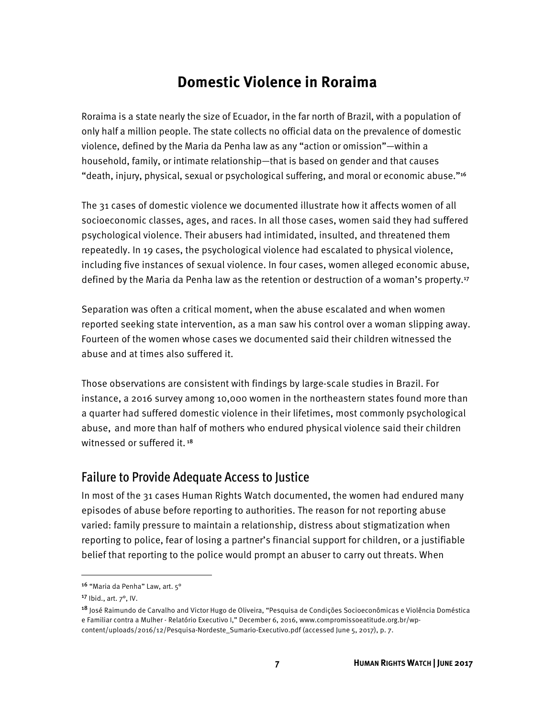## **Domestic Violence in Roraima**

Roraima is a state nearly the size of Ecuador, in the far north of Brazil, with a population of only half a million people. The state collects no official data on the prevalence of domestic violence, defined by the Maria da Penha law as any "action or omission"—within a household, family, or intimate relationship—that is based on gender and that causes "death, injury, physical, sexual or psychological suffering, and moral or economic abuse."<sup>16</sup>

The 31 cases of domestic violence we documented illustrate how it affects women of all socioeconomic classes, ages, and races. In all those cases, women said they had suffered psychological violence. Their abusers had intimidated, insulted, and threatened them repeatedly. In 19 cases, the psychological violence had escalated to physical violence, including five instances of sexual violence. In four cases, women alleged economic abuse, defined by the Maria da Penha law as the retention or destruction of a woman's property.<sup>17</sup>

Separation was often a critical moment, when the abuse escalated and when women reported seeking state intervention, as a man saw his control over a woman slipping away. Fourteen of the women whose cases we documented said their children witnessed the abuse and at times also suffered it.

Those observations are consistent with findings by large-scale studies in Brazil. For instance, a 2016 survey among 10,000 women in the northeastern states found more than a quarter had suffered domestic violence in their lifetimes, most commonly psychological abuse, and more than half of mothers who endured physical violence said their children witnessed or suffered it.<sup>18</sup>

#### Failure to Provide Adequate Access to Justice

In most of the 31 cases Human Rights Watch documented, the women had endured many episodes of abuse before reporting to authorities. The reason for not reporting abuse varied: family pressure to maintain a relationship, distress about stigmatization when reporting to police, fear of losing a partner's financial support for children, or a justifiable belief that reporting to the police would prompt an abuser to carry out threats. When

 $\overline{a}$ 

<sup>16</sup> "Maria da Penha" Law, art. 5°

<sup>17</sup> Ibid., art. 7°, IV.

<sup>18</sup> José Raimundo de Carvalho and Victor Hugo de Oliveira, "Pesquisa de Condições Socioeconômicas e Violência Doméstica e Familiar contra a Mulher - Relatório Executivo I," December 6, 2016, www.compromissoeatitude.org.br/wpcontent/uploads/2016/12/Pesquisa-Nordeste\_Sumario-Executivo.pdf (accessed June 5, 2017), p. 7.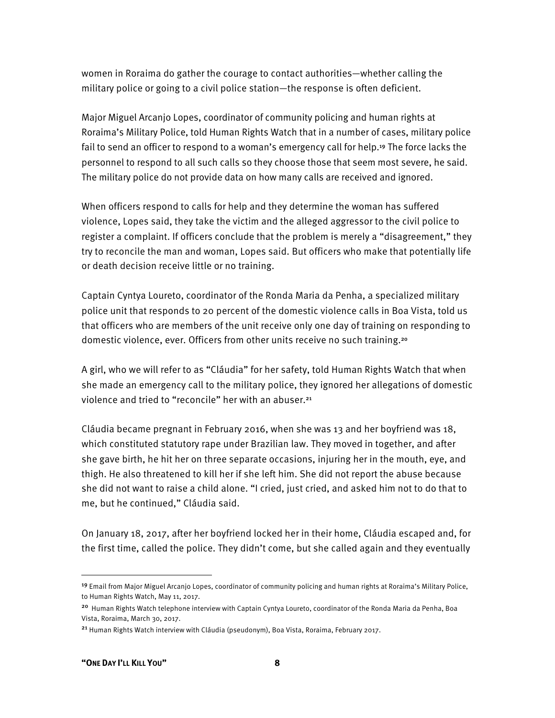women in Roraima do gather the courage to contact authorities—whether calling the military police or going to a civil police station—the response is often deficient.

Major Miguel Arcanjo Lopes, coordinator of community policing and human rights at Roraima's Military Police, told Human Rights Watch that in a number of cases, military police fail to send an officer to respond to a woman's emergency call for help.<sup>19</sup> The force lacks the personnel to respond to all such calls so they choose those that seem most severe, he said. The military police do not provide data on how many calls are received and ignored.

When officers respond to calls for help and they determine the woman has suffered violence, Lopes said, they take the victim and the alleged aggressor to the civil police to register a complaint. If officers conclude that the problem is merely a "disagreement," they try to reconcile the man and woman, Lopes said. But officers who make that potentially life or death decision receive little or no training.

Captain Cyntya Loureto, coordinator of the Ronda Maria da Penha, a specialized military police unit that responds to 20 percent of the domestic violence calls in Boa Vista, told us that officers who are members of the unit receive only one day of training on responding to domestic violence, ever. Officers from other units receive no such training.<sup>20</sup>

A girl, who we will refer to as "Cláudia" for her safety, told Human Rights Watch that when she made an emergency call to the military police, they ignored her allegations of domestic violence and tried to "reconcile" her with an abuser.<sup>21</sup>

Cláudia became pregnant in February 2016, when she was 13 and her boyfriend was 18, which constituted statutory rape under Brazilian law. They moved in together, and after she gave birth, he hit her on three separate occasions, injuring her in the mouth, eye, and thigh. He also threatened to kill her if she left him. She did not report the abuse because she did not want to raise a child alone. "I cried, just cried, and asked him not to do that to me, but he continued," Cláudia said.

On January 18, 2017, after her boyfriend locked her in their home, Cláudia escaped and, for the first time, called the police. They didn't come, but she called again and they eventually

 $\overline{a}$ 

<sup>19</sup> Email from Major Miguel Arcanjo Lopes, coordinator of community policing and human rights at Roraima's Military Police, to Human Rights Watch, May 11, 2017.

<sup>20</sup> Human Rights Watch telephone interview with Captain Cyntya Loureto, coordinator of the Ronda Maria da Penha, Boa Vista, Roraima, March 30, 2017.

<sup>21</sup> Human Rights Watch interview with Cláudia (pseudonym), Boa Vista, Roraima, February 2017.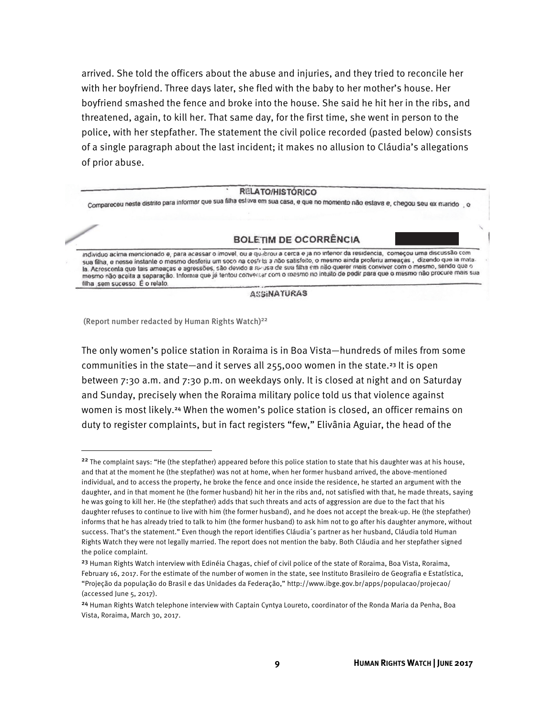arrived. She told the officers about the abuse and injuries, and they tried to reconcile her with her boyfriend. Three days later, she fled with the baby to her mother's house. Her boyfriend smashed the fence and broke into the house. She said he hit her in the ribs, and threatened, again, to kill her. That same day, for the first time, she went in person to the police, with her stepfather. The statement the civil police recorded (pasted below) consists of a single paragraph about the last incident; it makes no allusion to Cláudia's allegations of prior abuse.

#### **RELATO/HISTÓRICO**

Compareceu neste distrito para informar que sua filha eslava em sua casa, e que no momento não estava e, chegou seu ex marido o

#### **BOLETIM DE OCORRÊNCIA**

individuo acima mencionado e, para acessar o imovel, ou a qu-brou a cerca e ja no interior da residencia, começou uma discussão com sua filha, e nesse instante o mesmo desferiu um soco na costria a não salisfeito, o mesmo ainda proferiu ameaças, dizendo que la matala. Acroscenta que tais ameaças e agressões, são devido a re-usa de sua filha em não querer mais conviver com o mesmo, sendo que o ma Acrescenta que lais arrieaças e agressos, são osítio sito as de seu mais no intuito de padir para que o mesmo não procure mais sua filha sem sucesso É o relato.

**ASSINATURAS** 

(Report number redacted by Human Rights Watch)22

**.** 

The only women's police station in Roraima is in Boa Vista—hundreds of miles from some communities in the state—and it serves all 255,000 women in the state.23 It is open between 7:30 a.m. and 7:30 p.m. on weekdays only. It is closed at night and on Saturday and Sunday, precisely when the Roraima military police told us that violence against women is most likely.24 When the women's police station is closed, an officer remains on duty to register complaints, but in fact registers "few," Elivânia Aguiar, the head of the

 $22$  The complaint says: "He (the stepfather) appeared before this police station to state that his daughter was at his house, and that at the moment he (the stepfather) was not at home, when her former husband arrived, the above-mentioned individual, and to access the property, he broke the fence and once inside the residence, he started an argument with the daughter, and in that moment he (the former husband) hit her in the ribs and, not satisfied with that, he made threats, saying he was going to kill her. He (the stepfather) adds that such threats and acts of aggression are due to the fact that his daughter refuses to continue to live with him (the former husband), and he does not accept the break-up. He (the stepfather) informs that he has already tried to talk to him (the former husband) to ask him not to go after his daughter anymore, without success. That's the statement." Even though the report identifies Cláudia´s partner as her husband, Cláudia told Human Rights Watch they were not legally married. The report does not mention the baby. Both Cláudia and her stepfather signed the police complaint.

<sup>&</sup>lt;sup>23</sup> Human Rights Watch interview with Edinéia Chagas, chief of civil police of the state of Roraima, Boa Vista, Roraima, February 16, 2017. For the estimate of the number of women in the state, see Instituto Brasileiro de Geografia e Estatística, "Projeção da população do Brasil e das Unidades da Federação," http://www.ibge.gov.br/apps/populacao/projecao/ (accessed June 5, 2017).

<sup>24</sup> Human Rights Watch telephone interview with Captain Cyntya Loureto, coordinator of the Ronda Maria da Penha, Boa Vista, Roraima, March 30, 2017.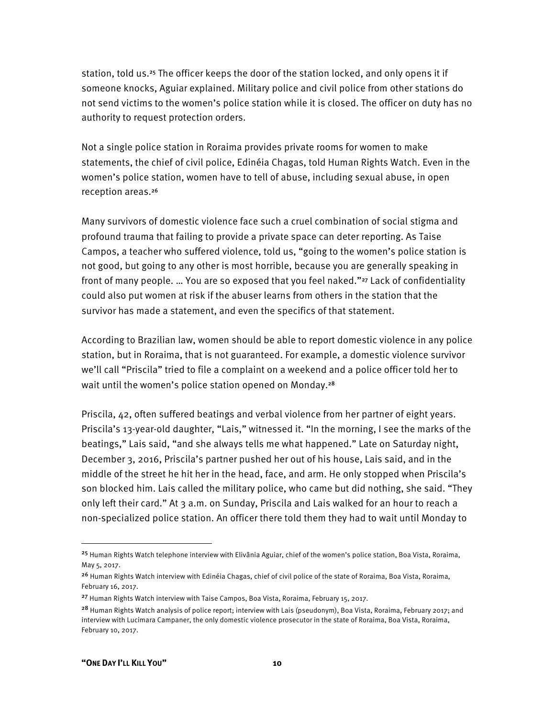station, told us.25 The officer keeps the door of the station locked, and only opens it if someone knocks, Aguiar explained. Military police and civil police from other stations do not send victims to the women's police station while it is closed. The officer on duty has no authority to request protection orders.

Not a single police station in Roraima provides private rooms for women to make statements, the chief of civil police, Edinéia Chagas, told Human Rights Watch. Even in the women's police station, women have to tell of abuse, including sexual abuse, in open reception areas.<sup>26</sup>

Many survivors of domestic violence face such a cruel combination of social stigma and profound trauma that failing to provide a private space can deter reporting. As Taise Campos, a teacher who suffered violence, told us, "going to the women's police station is not good, but going to any other is most horrible, because you are generally speaking in front of many people. ... You are so exposed that you feel naked."<sup>27</sup> Lack of confidentiality could also put women at risk if the abuser learns from others in the station that the survivor has made a statement, and even the specifics of that statement.

According to Brazilian law, women should be able to report domestic violence in any police station, but in Roraima, that is not guaranteed. For example, a domestic violence survivor we'll call "Priscila" tried to file a complaint on a weekend and a police officer told her to wait until the women's police station opened on Monday.<sup>28</sup>

Priscila, 42, often suffered beatings and verbal violence from her partner of eight years. Priscila's 13-year-old daughter, "Lais," witnessed it. "In the morning, I see the marks of the beatings," Lais said, "and she always tells me what happened." Late on Saturday night, December 3, 2016, Priscila's partner pushed her out of his house, Lais said, and in the middle of the street he hit her in the head, face, and arm. He only stopped when Priscila's son blocked him. Lais called the military police, who came but did nothing, she said. "They only left their card." At 3 a.m. on Sunday, Priscila and Lais walked for an hour to reach a non-specialized police station. An officer there told them they had to wait until Monday to

<sup>25</sup> Human Rights Watch telephone interview with Elivânia Aguiar, chief of the women's police station, Boa Vista, Roraima, May 5, 2017.

<sup>&</sup>lt;sup>26</sup> Human Rights Watch interview with Edinéia Chagas, chief of civil police of the state of Roraima, Boa Vista, Roraima, February 16, 2017.

<sup>&</sup>lt;sup>27</sup> Human Rights Watch interview with Taise Campos, Boa Vista, Roraima, February 15, 2017.

<sup>&</sup>lt;sup>28</sup> Human Rights Watch analysis of police report; interview with Lais (pseudonym), Boa Vista, Roraima, February 2017; and interview with Lucimara Campaner, the only domestic violence prosecutor in the state of Roraima, Boa Vista, Roraima, February 10, 2017.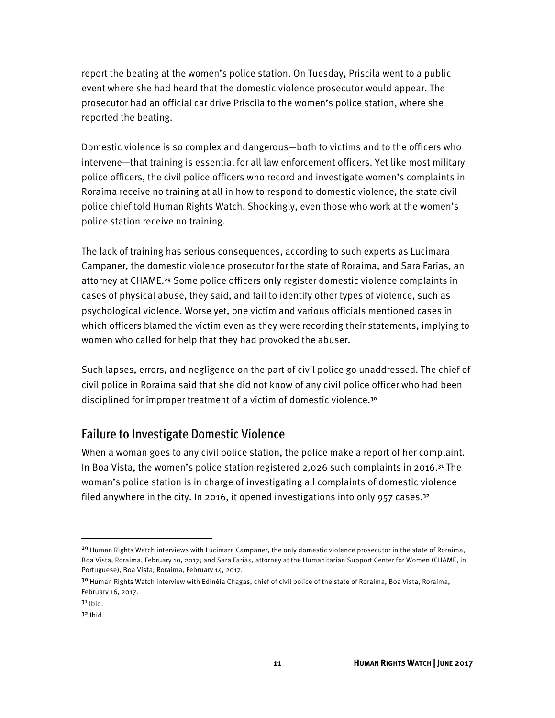report the beating at the women's police station. On Tuesday, Priscila went to a public event where she had heard that the domestic violence prosecutor would appear. The prosecutor had an official car drive Priscila to the women's police station, where she reported the beating.

Domestic violence is so complex and dangerous—both to victims and to the officers who intervene—that training is essential for all law enforcement officers. Yet like most military police officers, the civil police officers who record and investigate women's complaints in Roraima receive no training at all in how to respond to domestic violence, the state civil police chief told Human Rights Watch. Shockingly, even those who work at the women's police station receive no training.

The lack of training has serious consequences, according to such experts as Lucimara Campaner, the domestic violence prosecutor for the state of Roraima, and Sara Farias, an attorney at CHAME.29 Some police officers only register domestic violence complaints in cases of physical abuse, they said, and fail to identify other types of violence, such as psychological violence. Worse yet, one victim and various officials mentioned cases in which officers blamed the victim even as they were recording their statements, implying to women who called for help that they had provoked the abuser.

Such lapses, errors, and negligence on the part of civil police go unaddressed. The chief of civil police in Roraima said that she did not know of any civil police officer who had been disciplined for improper treatment of a victim of domestic violence.<sup>30</sup>

#### Failure to Investigate Domestic Violence

When a woman goes to any civil police station, the police make a report of her complaint. In Boa Vista, the women's police station registered 2,026 such complaints in 2016.31 The woman's police station is in charge of investigating all complaints of domestic violence filed anywhere in the city. In 2016, it opened investigations into only 957 cases.<sup>32</sup>

<sup>&</sup>lt;sup>29</sup> Human Rights Watch interviews with Lucimara Campaner, the only domestic violence prosecutor in the state of Roraima, Boa Vista, Roraima, February 10, 2017; and Sara Farias, attorney at the Humanitarian Support Center for Women (CHAME, in Portuguese), Boa Vista, Roraima, February 14, 2017.

<sup>&</sup>lt;sup>30</sup> Human Rights Watch interview with Edinéia Chagas, chief of civil police of the state of Roraima, Boa Vista, Roraima, February 16, 2017.

 $3<sup>1</sup>$  Ibid.

 $3<sup>2</sup>$  Ibid.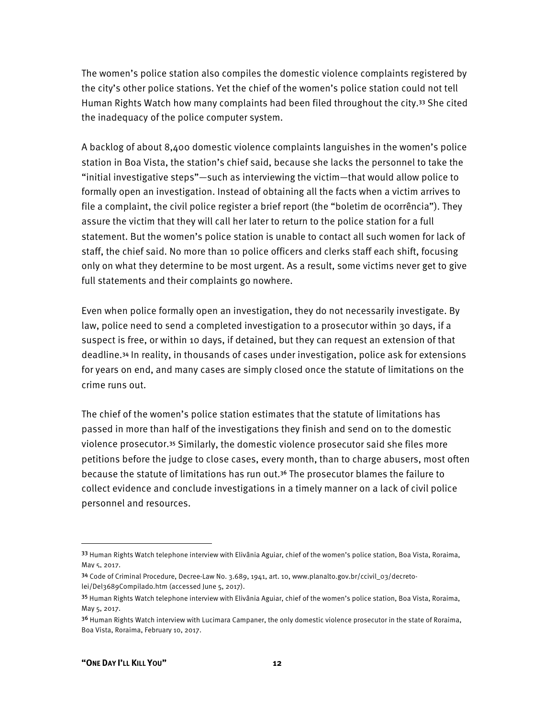The women's police station also compiles the domestic violence complaints registered by the city's other police stations. Yet the chief of the women's police station could not tell Human Rights Watch how many complaints had been filed throughout the city.33 She cited the inadequacy of the police computer system.

A backlog of about 8,400 domestic violence complaints languishes in the women's police station in Boa Vista, the station's chief said, because she lacks the personnel to take the "initial investigative steps"—such as interviewing the victim—that would allow police to formally open an investigation. Instead of obtaining all the facts when a victim arrives to file a complaint, the civil police register a brief report (the "boletim de ocorrência"). They assure the victim that they will call her later to return to the police station for a full statement. But the women's police station is unable to contact all such women for lack of staff, the chief said. No more than 10 police officers and clerks staff each shift, focusing only on what they determine to be most urgent. As a result, some victims never get to give full statements and their complaints go nowhere.

Even when police formally open an investigation, they do not necessarily investigate. By law, police need to send a completed investigation to a prosecutor within 30 days, if a suspect is free, or within 10 days, if detained, but they can request an extension of that deadline.34 In reality, in thousands of cases under investigation, police ask for extensions for years on end, and many cases are simply closed once the statute of limitations on the crime runs out.

The chief of the women's police station estimates that the statute of limitations has passed in more than half of the investigations they finish and send on to the domestic violence prosecutor.35 Similarly, the domestic violence prosecutor said she files more petitions before the judge to close cases, every month, than to charge abusers, most often because the statute of limitations has run out.36 The prosecutor blames the failure to collect evidence and conclude investigations in a timely manner on a lack of civil police personnel and resources.

<sup>33</sup> Human Rights Watch telephone interview with Elivânia Aguiar, chief of the women's police station, Boa Vista, Roraima, May 5, 2017.

<sup>34</sup> Code of Criminal Procedure, Decree-Law No. 3.689, 1941, art. 10, www.planalto.gov.br/ccivil\_03/decretolei/Del3689Compilado.htm (accessed June 5, 2017).

<sup>35</sup> Human Rights Watch telephone interview with Elivânia Aguiar, chief of the women's police station, Boa Vista, Roraima, May 5, 2017.

<sup>&</sup>lt;sup>36</sup> Human Rights Watch interview with Lucimara Campaner, the only domestic violence prosecutor in the state of Roraima, Boa Vista, Roraima, February 10, 2017.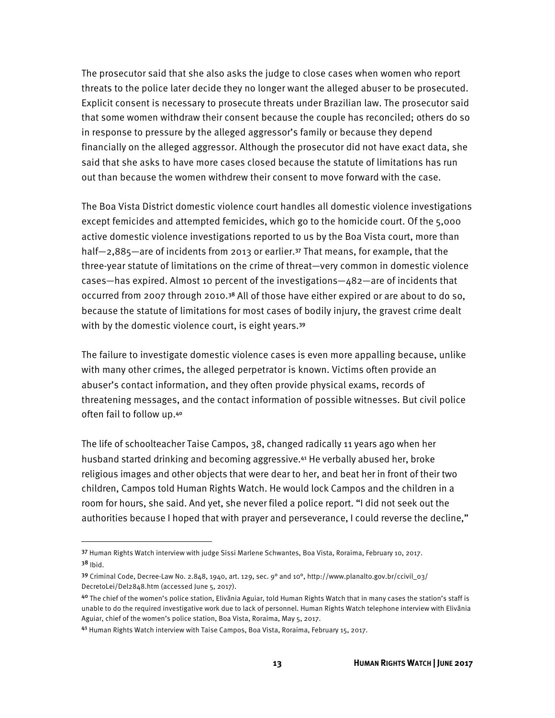The prosecutor said that she also asks the judge to close cases when women who report threats to the police later decide they no longer want the alleged abuser to be prosecuted. Explicit consent is necessary to prosecute threats under Brazilian law. The prosecutor said that some women withdraw their consent because the couple has reconciled; others do so in response to pressure by the alleged aggressor's family or because they depend financially on the alleged aggressor. Although the prosecutor did not have exact data, she said that she asks to have more cases closed because the statute of limitations has run out than because the women withdrew their consent to move forward with the case.

The Boa Vista District domestic violence court handles all domestic violence investigations except femicides and attempted femicides, which go to the homicide court. Of the 5,000 active domestic violence investigations reported to us by the Boa Vista court, more than half-2,885-are of incidents from 2013 or earlier.<sup>37</sup> That means, for example, that the three-year statute of limitations on the crime of threat—very common in domestic violence cases—has expired. Almost 10 percent of the investigations—482—are of incidents that occurred from 2007 through 2010.38 All of those have either expired or are about to do so, because the statute of limitations for most cases of bodily injury, the gravest crime dealt with by the domestic violence court, is eight years.<sup>39</sup>

The failure to investigate domestic violence cases is even more appalling because, unlike with many other crimes, the alleged perpetrator is known. Victims often provide an abuser's contact information, and they often provide physical exams, records of threatening messages, and the contact information of possible witnesses. But civil police often fail to follow up.<sup>40</sup>

The life of schoolteacher Taise Campos, 38, changed radically 11 years ago when her husband started drinking and becoming aggressive.41 He verbally abused her, broke religious images and other objects that were dear to her, and beat her in front of their two children, Campos told Human Rights Watch. He would lock Campos and the children in a room for hours, she said. And yet, she never filed a police report. "I did not seek out the authorities because I hoped that with prayer and perseverance, I could reverse the decline,"

l

<sup>37</sup> Human Rights Watch interview with judge Sissi Marlene Schwantes, Boa Vista, Roraima, February 10, 2017.  $38$  Ibid.

<sup>&</sup>lt;sup>39</sup> Criminal Code, Decree-Law No. 2.848, 1940, art. 129, sec. 9° and 10°, http://www.planalto.gov.br/ccivil\_03/ DecretoLei/Del2848.htm (accessed June 5, 2017).

<sup>40</sup> The chief of the women's police station, Elivânia Aguiar, told Human Rights Watch that in many cases the station's staff is unable to do the required investigative work due to lack of personnel. Human Rights Watch telephone interview with Elivânia Aguiar, chief of the women's police station, Boa Vista, Roraima, May 5, 2017.

<sup>41</sup> Human Rights Watch interview with Taise Campos, Boa Vista, Roraima, February 15, 2017.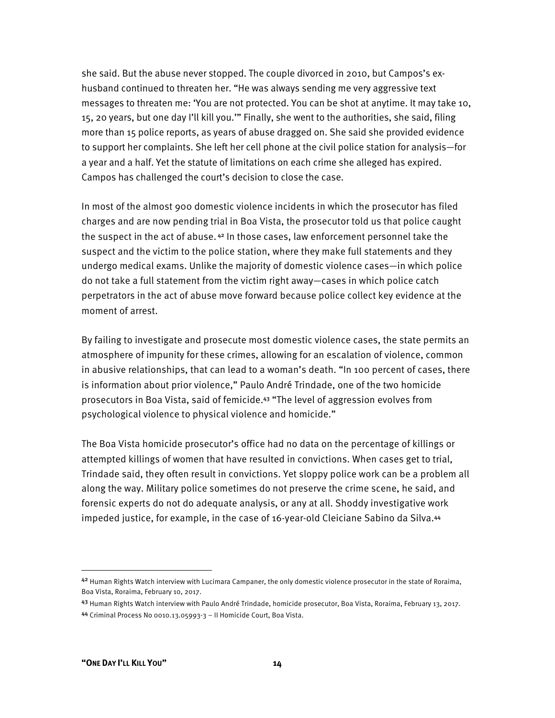she said. But the abuse never stopped. The couple divorced in 2010, but Campos's exhusband continued to threaten her. "He was always sending me very aggressive text messages to threaten me: 'You are not protected. You can be shot at anytime. It may take 10, 15, 20 years, but one day I'll kill you.'" Finally, she went to the authorities, she said, filing more than 15 police reports, as years of abuse dragged on. She said she provided evidence to support her complaints. She left her cell phone at the civil police station for analysis—for a year and a half. Yet the statute of limitations on each crime she alleged has expired. Campos has challenged the court's decision to close the case.

In most of the almost 900 domestic violence incidents in which the prosecutor has filed charges and are now pending trial in Boa Vista, the prosecutor told us that police caught the suspect in the act of abuse. 42 In those cases, law enforcement personnel take the suspect and the victim to the police station, where they make full statements and they undergo medical exams. Unlike the majority of domestic violence cases—in which police do not take a full statement from the victim right away—cases in which police catch perpetrators in the act of abuse move forward because police collect key evidence at the moment of arrest.

By failing to investigate and prosecute most domestic violence cases, the state permits an atmosphere of impunity for these crimes, allowing for an escalation of violence, common in abusive relationships, that can lead to a woman's death. "In 100 percent of cases, there is information about prior violence," Paulo André Trindade, one of the two homicide prosecutors in Boa Vista, said of femicide.43 "The level of aggression evolves from psychological violence to physical violence and homicide."

The Boa Vista homicide prosecutor's office had no data on the percentage of killings or attempted killings of women that have resulted in convictions. When cases get to trial, Trindade said, they often result in convictions. Yet sloppy police work can be a problem all along the way. Military police sometimes do not preserve the crime scene, he said, and forensic experts do not do adequate analysis, or any at all. Shoddy investigative work impeded justice, for example, in the case of 16-year-old Cleiciane Sabino da Silva.<sup>44</sup>

**.** 

<sup>42</sup> Human Rights Watch interview with Lucimara Campaner, the only domestic violence prosecutor in the state of Roraima, Boa Vista, Roraima, February 10, 2017.

<sup>43</sup> Human Rights Watch interview with Paulo André Trindade, homicide prosecutor, Boa Vista, Roraima, February 13, 2017.

<sup>44</sup> Criminal Process No 0010.13.05993-3 – II Homicide Court, Boa Vista.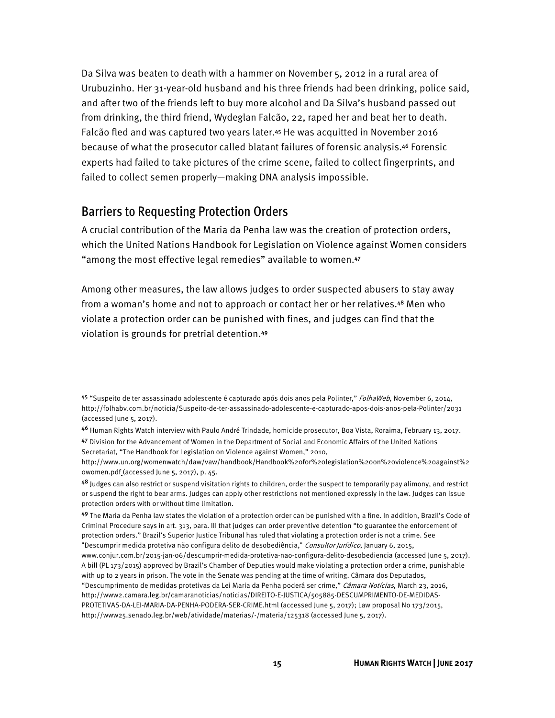Da Silva was beaten to death with a hammer on November 5, 2012 in a rural area of Urubuzinho. Her 31-year-old husband and his three friends had been drinking, police said, and after two of the friends left to buy more alcohol and Da Silva's husband passed out from drinking, the third friend, Wydeglan Falcão, 22, raped her and beat her to death. Falcão fled and was captured two years later.<sup>45</sup> He was acquitted in November 2016 because of what the prosecutor called blatant failures of forensic analysis.46 Forensic experts had failed to take pictures of the crime scene, failed to collect fingerprints, and failed to collect semen properly—making DNA analysis impossible.

### Barriers to Requesting Protection Orders

<u>.</u>

A crucial contribution of the Maria da Penha law was the creation of protection orders, which the United Nations Handbook for Legislation on Violence against Women considers "among the most effective legal remedies" available to women.<sup>47</sup>

Among other measures, the law allows judges to order suspected abusers to stay away from a woman's home and not to approach or contact her or her relatives.48 Men who violate a protection order can be punished with fines, and judges can find that the violation is grounds for pretrial detention.<sup>49</sup>

www.conjur.com.br/2015-jan-06/descumprir-medida-protetiva-nao-configura-delito-desobediencia (accessed June 5, 2017). A bill (PL 173/2015) approved by Brazil's Chamber of Deputies would make violating a protection order a crime, punishable with up to 2 years in prison. The vote in the Senate was pending at the time of writing. Câmara dos Deputados, "Descumprimento de medidas protetivas da Lei Maria da Penha poderá ser crime," Câmara Notícias, March 23, 2016,

<sup>45 &</sup>quot;Suspeito de ter assassinado adolescente é capturado após dois anos pela Polinter," FolhaWeb, November 6, 2014, http://folhabv.com.br/noticia/Suspeito-de-ter-assassinado-adolescente-e-capturado-apos-dois-anos-pela-Polinter/2031 (accessed June 5, 2017).

<sup>46</sup> Human Rights Watch interview with Paulo André Trindade, homicide prosecutor, Boa Vista, Roraima, February 13, 2017. 47 Division for the Advancement of Women in the Department of Social and Economic Affairs of the United Nations Secretariat, "The Handbook for Legislation on Violence against Women," 2010,

http://www.un.org/womenwatch/daw/vaw/handbook/Handbook%20for%20legislation%20on%20violence%20against%2 0women.pdf (accessed June 5, 2017), p. 45.

<sup>48</sup> Judges can also restrict or suspend visitation rights to children, order the suspect to temporarily pay alimony, and restrict or suspend the right to bear arms. Judges can apply other restrictions not mentioned expressly in the law. Judges can issue protection orders with or without time limitation.

<sup>49</sup> The Maria da Penha law states the violation of a protection order can be punished with a fine. In addition, Brazil's Code of Criminal Procedure says in art. 313, para. III that judges can order preventive detention "to guarantee the enforcement of protection orders." Brazil's Superior Justice Tribunal has ruled that violating a protection order is not a crime. See "Descumprir medida protetiva não configura delito de desobediência," Consultor Jurídico, January 6, 2015,

http://www2.camara.leg.br/camaranoticias/noticias/DIREITO-E-JUSTICA/505885-DESCUMPRIMENTO-DE-MEDIDAS-PROTETIVAS-DA-LEI-MARIA-DA-PENHA-PODERA-SER-CRIME.html (accessed June 5, 2017); Law proposal No 173/2015, http://www25.senado.leg.br/web/atividade/materias/-/materia/125318 (accessed June 5, 2017).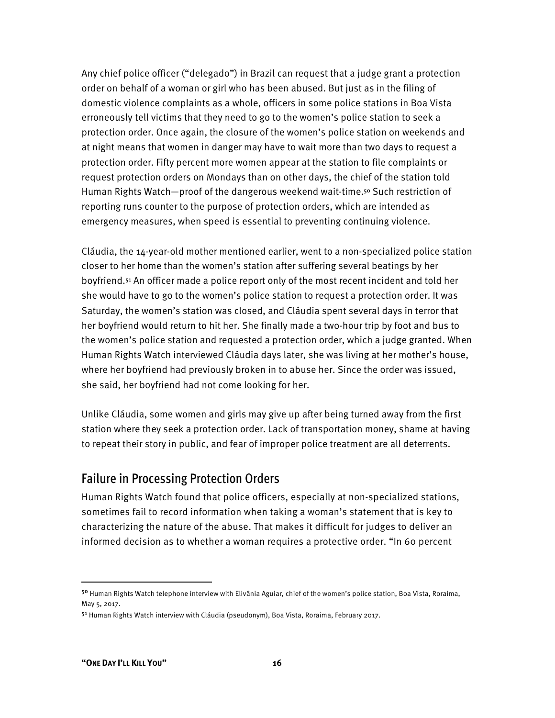Any chief police officer ("delegado") in Brazil can request that a judge grant a protection order on behalf of a woman or girl who has been abused. But just as in the filing of domestic violence complaints as a whole, officers in some police stations in Boa Vista erroneously tell victims that they need to go to the women's police station to seek a protection order. Once again, the closure of the women's police station on weekends and at night means that women in danger may have to wait more than two days to request a protection order. Fifty percent more women appear at the station to file complaints or request protection orders on Mondays than on other days, the chief of the station told Human Rights Watch—proof of the dangerous weekend wait-time.<sup>50</sup> Such restriction of reporting runs counter to the purpose of protection orders, which are intended as emergency measures, when speed is essential to preventing continuing violence.

Cláudia, the 14-year-old mother mentioned earlier, went to a non-specialized police station closer to her home than the women's station after suffering several beatings by her boyfriend.51 An officer made a police report only of the most recent incident and told her she would have to go to the women's police station to request a protection order. It was Saturday, the women's station was closed, and Cláudia spent several days in terror that her boyfriend would return to hit her. She finally made a two-hour trip by foot and bus to the women's police station and requested a protection order, which a judge granted. When Human Rights Watch interviewed Cláudia days later, she was living at her mother's house, where her boyfriend had previously broken in to abuse her. Since the order was issued, she said, her boyfriend had not come looking for her.

Unlike Cláudia, some women and girls may give up after being turned away from the first station where they seek a protection order. Lack of transportation money, shame at having to repeat their story in public, and fear of improper police treatment are all deterrents.

#### Failure in Processing Protection Orders

Human Rights Watch found that police officers, especially at non-specialized stations, sometimes fail to record information when taking a woman's statement that is key to characterizing the nature of the abuse. That makes it difficult for judges to deliver an informed decision as to whether a woman requires a protective order. "In 60 percent

<sup>50</sup> Human Rights Watch telephone interview with Elivânia Aguiar, chief of the women's police station, Boa Vista, Roraima, May 5, 2017.

<sup>51</sup> Human Rights Watch interview with Cláudia (pseudonym), Boa Vista, Roraima, February 2017.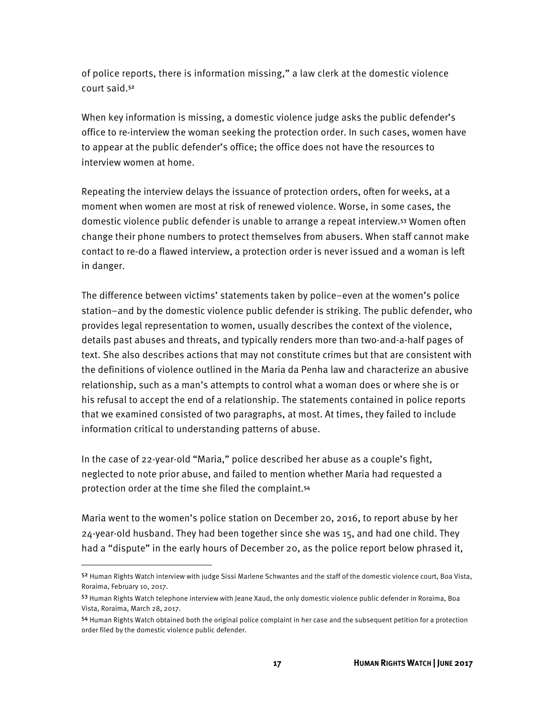of police reports, there is information missing," a law clerk at the domestic violence court said.<sup>52</sup>

When key information is missing, a domestic violence judge asks the public defender's office to re-interview the woman seeking the protection order. In such cases, women have to appear at the public defender's office; the office does not have the resources to interview women at home.

Repeating the interview delays the issuance of protection orders, often for weeks, at a moment when women are most at risk of renewed violence. Worse, in some cases, the domestic violence public defender is unable to arrange a repeat interview.53 Women often change their phone numbers to protect themselves from abusers. When staff cannot make contact to re-do a flawed interview, a protection order is never issued and a woman is left in danger.

The difference between victims' statements taken by police–even at the women's police station–and by the domestic violence public defender is striking. The public defender, who provides legal representation to women, usually describes the context of the violence, details past abuses and threats, and typically renders more than two-and-a-half pages of text. She also describes actions that may not constitute crimes but that are consistent with the definitions of violence outlined in the Maria da Penha law and characterize an abusive relationship, such as a man's attempts to control what a woman does or where she is or his refusal to accept the end of a relationship. The statements contained in police reports that we examined consisted of two paragraphs, at most. At times, they failed to include information critical to understanding patterns of abuse.

In the case of 22-year-old "Maria," police described her abuse as a couple's fight, neglected to note prior abuse, and failed to mention whether Maria had requested a protection order at the time she filed the complaint.<sup>54</sup>

Maria went to the women's police station on December 20, 2016, to report abuse by her 24-year-old husband. They had been together since she was 15, and had one child. They had a "dispute" in the early hours of December 20, as the police report below phrased it,

<sup>52</sup> Human Rights Watch interview with judge Sissi Marlene Schwantes and the staff of the domestic violence court, Boa Vista, Roraima, February 10, 2017.

<sup>53</sup> Human Rights Watch telephone interview with Jeane Xaud, the only domestic violence public defender in Roraima, Boa Vista, Roraima, March 28, 2017.

<sup>54</sup> Human Rights Watch obtained both the original police complaint in her case and the subsequent petition for a protection order filed by the domestic violence public defender.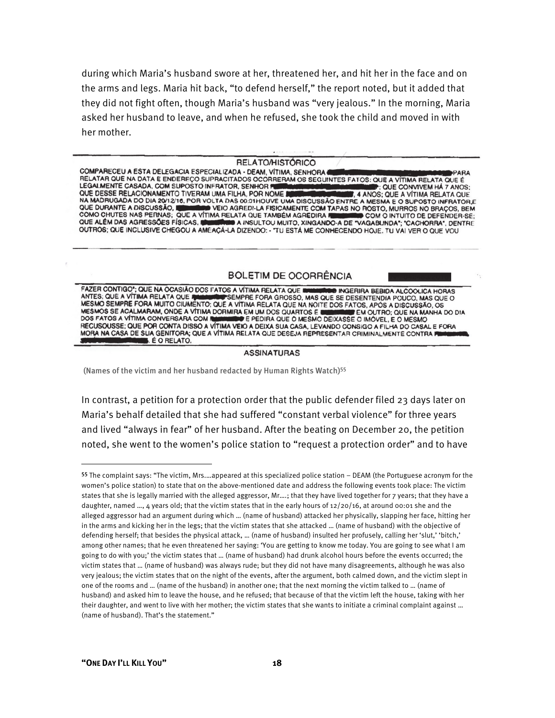during which Maria's husband swore at her, threatened her, and hit her in the face and on the arms and legs. Maria hit back, "to defend herself," the report noted, but it added that they did not fight often, though Maria's husband was "very jealous." In the morning, Maria asked her husband to leave, and when he refused, she took the child and moved in with her mother.

#### **RELATO/HISTÓRICO**

COMPARECEU A ESTA DELEGACIA ESPECIALIZADA - DEAM, VÍTIMA, SENHORA ( **PARA** RELATAR QUE NA DATA E ENDEREÇO SUPRACITADOS OCORRERAM OS SEGUINTES FATOS: QUE A VÍTIMA RELATA QUE É LEGALMENTE CASADA, COM SUPOSTO INFRATOR, SENHOR # : QUE CONVIVEM HÁ 7 ANOS: QUE DESSE RELACIONAMENTO TIVERAM UMA FILHA, POR NOME I **3. 4 ANOS; QUE A VÍTIMA RELATA QUE** NA MADRUGADA DO DIA 20/12/16, POR VOLTA DAS 00:01HOUVE UMA DISCUSSÃO ENTRE A MESMA E O SUPOSTO INFRATOR E QUE DURANTE A DISCUSSÃO, NO METO VEIO AGREDI-LA FISICAMENTE COM TA<br>COMO CHUTES NAS PERNAS; QUE A VÍTIMA RELATA QUE TAMBÉM AGREDIRA VEIO AGREDI-LA FISICAMENTE COM TAPAS NO ROSTO, MURROS NO BRAÇOS, BEM COM O INTUITO DE DEFENDER-SE; A INSULTOU MUITO, XINGANDO-A DE "VAGABUNDA"; "CACHORRA", DENTRE QUE ALÉM DAS AGRESSÕES FÍSICAS. OUTROS; QUE INCLUSIVE CHEGOU A AMEAÇÁ-LA DIZENDO: - "TU ESTÁ ME CONHECENDO HOJE. TU VAI VER O QUE VOU

#### **BOLETIM DE OCORRÊNCIA**

FAZER CONTIGO"; QUE NA OCASIÃO DOS FATOS A VÍTIMA RELATA QUE I **BUNGERIRA BEBIDA ALCOOLICA HORAS** ANTES; QUE A VÍTIMA RELATA QUE NE EN ENFERE FORA GROSSO, MAS QUE SE DESENTENDIA POUCO, MAS QUI<br>MESMO SEMPRE FORA MUITO CIUMENTO; QUE A VÍTIMA RELATA QUE NA NOITE DOS FATOS, APÓS A DISCUSSÃO, OS PSEMPRE FORA GROSSO, MAS QUE SE DESENTENDIA POUCO, MAS QUE O MESMOS SE ACALMARAM, ONDE A VÍTIMA DORMIRA EM UM DOS QUARTOS E EM OUTRO: QUE NA MANHA DO DIA DOS FATOS A VÍTIMA CONVERSARA COM R E PEDIRA QUE O MESMO DEIXASSE O IMÓVEL, E O MESMO RECUSOUSSE; QUE POR CONTA DISSO A VÍTIMA VEIO A DEIXA SUA CASA, LEVANDO CONSIGO A FILHA DO CASAL E FORA MORA NA CASA DE SUA GENITORA; QUE A VÍTIMA RELATA QUE DESEJA REPRESENTAR CRIMINALMENTE CONTRA P **E O RELATO.** 

#### **ASSINATURAS**

(Names of the victim and her husband redacted by Human Rights Watch)55

In contrast, a petition for a protection order that the public defender filed 23 days later on Maria's behalf detailed that she had suffered "constant verbal violence" for three years and lived "always in fear" of her husband. After the beating on December 20, the petition noted, she went to the women's police station to "request a protection order" and to have

<sup>55</sup> The complaint says: "The victim, Mrs.…appeared at this specialized police station – DEAM (the Portuguese acronym for the women's police station) to state that on the above-mentioned date and address the following events took place: The victim states that she is legally married with the alleged aggressor, Mr….; that they have lived together for 7 years; that they have a daughter, named  $...,$  4 years old; that the victim states that in the early hours of  $12/20/16$ , at around 00:01 she and the alleged aggressor had an argument during which … (name of husband) attacked her physically, slapping her face, hitting her in the arms and kicking her in the legs; that the victim states that she attacked … (name of husband) with the objective of defending herself; that besides the physical attack, … (name of husband) insulted her profusely, calling her 'slut,' 'bitch,' among other names; that he even threatened her saying: 'You are getting to know me today. You are going to see what I am going to do with you;' the victim states that … (name of husband) had drunk alcohol hours before the events occurred; the victim states that … (name of husband) was always rude; but they did not have many disagreements, although he was also very jealous; the victim states that on the night of the events, after the argument, both calmed down, and the victim slept in one of the rooms and … (name of the husband) in another one; that the next morning the victim talked to … (name of husband) and asked him to leave the house, and he refused; that because of that the victim left the house, taking with her their daughter, and went to live with her mother; the victim states that she wants to initiate a criminal complaint against … (name of husband). That's the statement."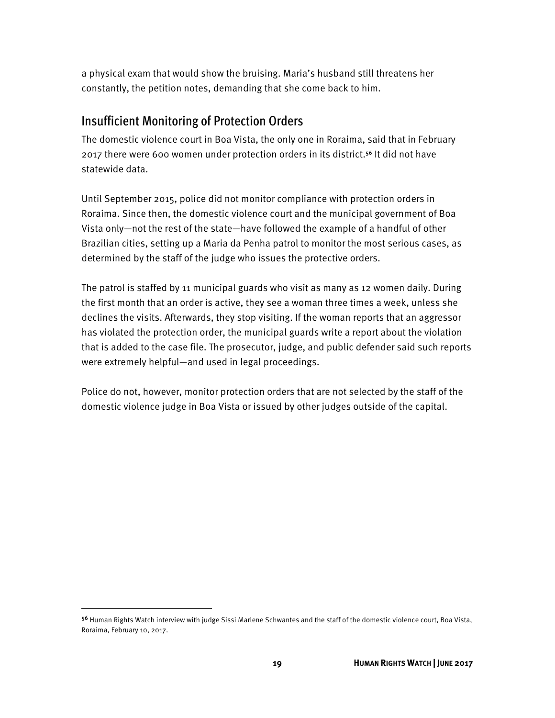a physical exam that would show the bruising. Maria's husband still threatens her constantly, the petition notes, demanding that she come back to him.

### Insufficient Monitoring of Protection Orders

The domestic violence court in Boa Vista, the only one in Roraima, said that in February 2017 there were 600 women under protection orders in its district.56 It did not have statewide data.

Until September 2015, police did not monitor compliance with protection orders in Roraima. Since then, the domestic violence court and the municipal government of Boa Vista only—not the rest of the state—have followed the example of a handful of other Brazilian cities, setting up a Maria da Penha patrol to monitor the most serious cases, as determined by the staff of the judge who issues the protective orders.

The patrol is staffed by 11 municipal guards who visit as many as 12 women daily. During the first month that an order is active, they see a woman three times a week, unless she declines the visits. Afterwards, they stop visiting. If the woman reports that an aggressor has violated the protection order, the municipal guards write a report about the violation that is added to the case file. The prosecutor, judge, and public defender said such reports were extremely helpful—and used in legal proceedings.

Police do not, however, monitor protection orders that are not selected by the staff of the domestic violence judge in Boa Vista or issued by other judges outside of the capital.

<sup>56</sup> Human Rights Watch interview with judge Sissi Marlene Schwantes and the staff of the domestic violence court, Boa Vista, Roraima, February 10, 2017.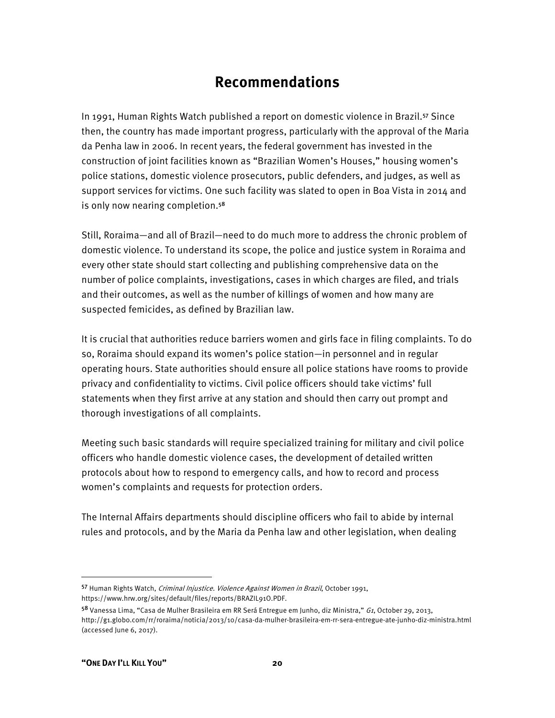## **Recommendations**

In 1991, Human Rights Watch published a report on domestic violence in Brazil.57 Since then, the country has made important progress, particularly with the approval of the Maria da Penha law in 2006. In recent years, the federal government has invested in the construction of joint facilities known as "Brazilian Women's Houses," housing women's police stations, domestic violence prosecutors, public defenders, and judges, as well as support services for victims. One such facility was slated to open in Boa Vista in 2014 and is only now nearing completion.<sup>58</sup>

Still, Roraima—and all of Brazil—need to do much more to address the chronic problem of domestic violence. To understand its scope, the police and justice system in Roraima and every other state should start collecting and publishing comprehensive data on the number of police complaints, investigations, cases in which charges are filed, and trials and their outcomes, as well as the number of killings of women and how many are suspected femicides, as defined by Brazilian law.

It is crucial that authorities reduce barriers women and girls face in filing complaints. To do so, Roraima should expand its women's police station—in personnel and in regular operating hours. State authorities should ensure all police stations have rooms to provide privacy and confidentiality to victims. Civil police officers should take victims' full statements when they first arrive at any station and should then carry out prompt and thorough investigations of all complaints.

Meeting such basic standards will require specialized training for military and civil police officers who handle domestic violence cases, the development of detailed written protocols about how to respond to emergency calls, and how to record and process women's complaints and requests for protection orders.

The Internal Affairs departments should discipline officers who fail to abide by internal rules and protocols, and by the Maria da Penha law and other legislation, when dealing

 $\overline{a}$ 

<sup>57</sup> Human Rights Watch, Criminal Injustice. Violence Against Women in Brazil, October 1991, https://www.hrw.org/sites/default/files/reports/BRAZIL91O.PDF.

<sup>58</sup> Vanessa Lima, "Casa de Mulher Brasileira em RR Será Entregue em Junho, diz Ministra," *G1*, October 29, 2013, http://g1.globo.com/rr/roraima/noticia/2013/10/casa-da-mulher-brasileira-em-rr-sera-entregue-ate-junho-diz-ministra.html (accessed June 6, 2017).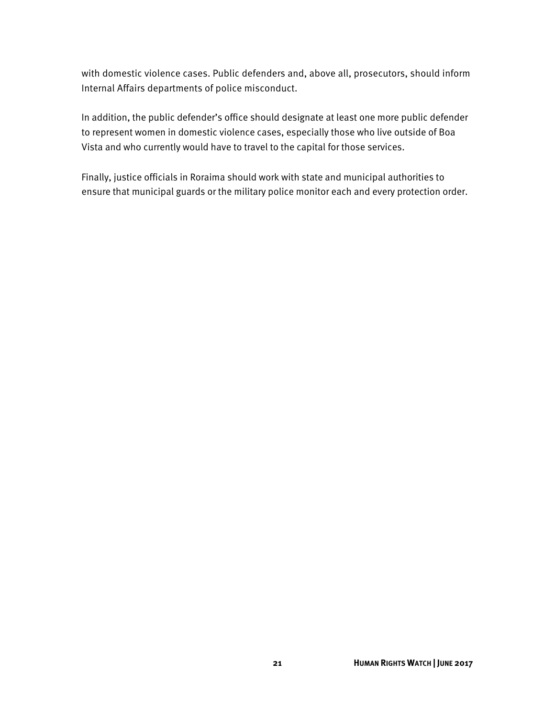with domestic violence cases. Public defenders and, above all, prosecutors, should inform Internal Affairs departments of police misconduct.

In addition, the public defender's office should designate at least one more public defender to represent women in domestic violence cases, especially those who live outside of Boa Vista and who currently would have to travel to the capital for those services.

Finally, justice officials in Roraima should work with state and municipal authorities to ensure that municipal guards or the military police monitor each and every protection order.